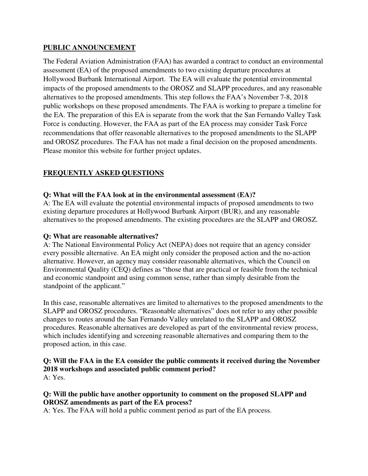### **PUBLIC ANNOUNCEMENT**

The Federal Aviation Administration (FAA) has awarded a contract to conduct an environmental assessment (EA) of the proposed amendments to two existing departure procedures at Hollywood Burbank International Airport. The EA will evaluate the potential environmental impacts of the proposed amendments to the OROSZ and SLAPP procedures, and any reasonable alternatives to the proposed amendments. This step follows the FAA's November 7-8, 2018 public workshops on these proposed amendments. The FAA is working to prepare a timeline for the EA. The preparation of this EA is separate from the work that the San Fernando Valley Task Force is conducting. However, the FAA as part of the EA process may consider Task Force recommendations that offer reasonable alternatives to the proposed amendments to the SLAPP and OROSZ procedures. The FAA has not made a final decision on the proposed amendments. Please monitor this website for further project updates.

# **FREQUENTLY ASKED QUESTIONS**

#### **Q: What will the FAA look at in the environmental assessment (EA)?**

A: The EA will evaluate the potential environmental impacts of proposed amendments to two existing departure procedures at Hollywood Burbank Airport (BUR), and any reasonable alternatives to the proposed amendments. The existing procedures are the SLAPP and OROSZ.

#### **Q: What are reasonable alternatives?**

A: The National Environmental Policy Act (NEPA) does not require that an agency consider every possible alternative. An EA might only consider the proposed action and the no-action alternative. However, an agency may consider reasonable alternatives, which the Council on Environmental Quality (CEQ) defines as "those that are practical or feasible from the technical and economic standpoint and using common sense, rather than simply desirable from the standpoint of the applicant."

In this case, reasonable alternatives are limited to alternatives to the proposed amendments to the SLAPP and OROSZ procedures. "Reasonable alternatives" does not refer to any other possible changes to routes around the San Fernando Valley unrelated to the SLAPP and OROSZ procedures. Reasonable alternatives are developed as part of the environmental review process, which includes identifying and screening reasonable alternatives and comparing them to the proposed action, in this case.

#### **Q: Will the FAA in the EA consider the public comments it received during the November 2018 workshops and associated public comment period?**  A: Yes.

# **Q: Will the public have another opportunity to comment on the proposed SLAPP and OROSZ amendments as part of the EA process?**

A: Yes. The FAA will hold a public comment period as part of the EA process.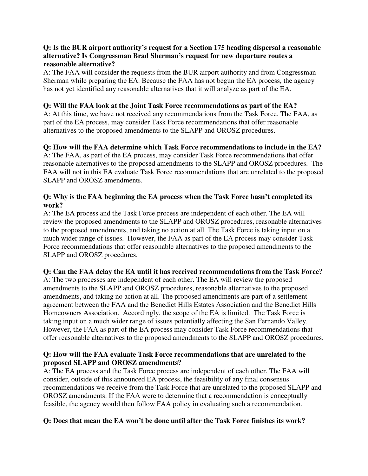### **Q: Is the BUR airport authority's request for a Section 175 heading dispersal a reasonable alternative? Is Congressman Brad Sherman's request for new departure routes a reasonable alternative?**

A: The FAA will consider the requests from the BUR airport authority and from Congressman Sherman while preparing the EA. Because the FAA has not begun the EA process, the agency has not yet identified any reasonable alternatives that it will analyze as part of the EA.

# **Q: Will the FAA look at the Joint Task Force recommendations as part of the EA?**

A: At this time, we have not received any recommendations from the Task Force. The FAA, as part of the EA process, may consider Task Force recommendations that offer reasonable alternatives to the proposed amendments to the SLAPP and OROSZ procedures.

# **Q: How will the FAA determine which Task Force recommendations to include in the EA?**

A: The FAA, as part of the EA process, may consider Task Force recommendations that offer reasonable alternatives to the proposed amendments to the SLAPP and OROSZ procedures. The FAA will not in this EA evaluate Task Force recommendations that are unrelated to the proposed SLAPP and OROSZ amendments.

### **Q: Why is the FAA beginning the EA process when the Task Force hasn't completed its work?**

A: The EA process and the Task Force process are independent of each other. The EA will review the proposed amendments to the SLAPP and OROSZ procedures, reasonable alternatives to the proposed amendments, and taking no action at all. The Task Force is taking input on a much wider range of issues. However, the FAA as part of the EA process may consider Task Force recommendations that offer reasonable alternatives to the proposed amendments to the SLAPP and OROSZ procedures.

# **Q: Can the FAA delay the EA until it has received recommendations from the Task Force?**

A: The two processes are independent of each other. The EA will review the proposed amendments to the SLAPP and OROSZ procedures, reasonable alternatives to the proposed amendments, and taking no action at all. The proposed amendments are part of a settlement agreement between the FAA and the Benedict Hills Estates Association and the Benedict Hills Homeowners Association. Accordingly, the scope of the EA is limited. The Task Force is taking input on a much wider range of issues potentially affecting the San Fernando Valley. However, the FAA as part of the EA process may consider Task Force recommendations that offer reasonable alternatives to the proposed amendments to the SLAPP and OROSZ procedures.

# **Q: How will the FAA evaluate Task Force recommendations that are unrelated to the proposed SLAPP and OROSZ amendments?**

A: The EA process and the Task Force process are independent of each other. The FAA will consider, outside of this announced EA process, the feasibility of any final consensus recommendations we receive from the Task Force that are unrelated to the proposed SLAPP and OROSZ amendments. If the FAA were to determine that a recommendation is conceptually feasible, the agency would then follow FAA policy in evaluating such a recommendation.

# **Q: Does that mean the EA won't be done until after the Task Force finishes its work?**